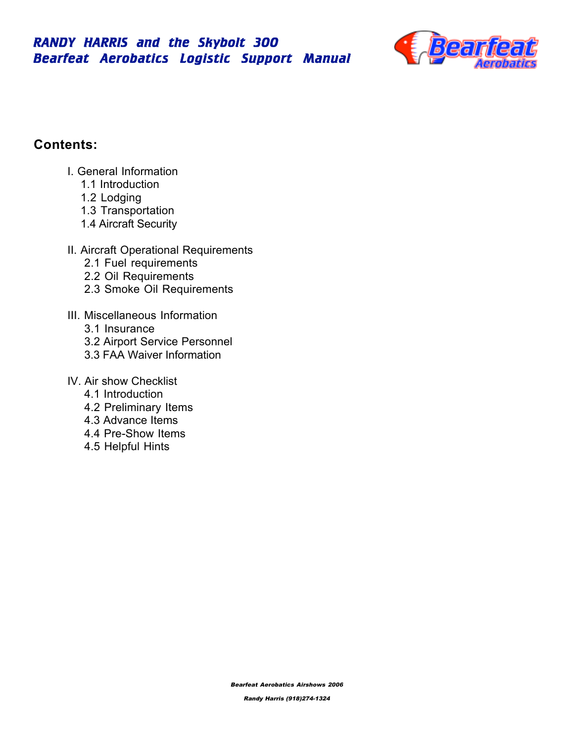

# **Contents:**

- I. General Information
	- 1.1 Introduction
	- 1.2 Lodging
	- 1.3 Transportation
	- 1.4 Aircraft Security
- II. Aircraft Operational Requirements
	- 2.1 Fuel requirements
	- 2.2 Oil Requirements
	- 2.3 Smoke Oil Requirements
- III. Miscellaneous Information
	- 3.1 Insurance
	- 3.2 Airport Service Personnel
	- 3.3 FAA Waiver Information
- IV. Air show Checklist
	- 4.1 Introduction
	- 4.2 Preliminary Items
	- 4.3 Advance Items
	- 4.4 Pre-Show Items
	- 4.5 Helpful Hints

Bearfeat Aerobatics Airshows 2006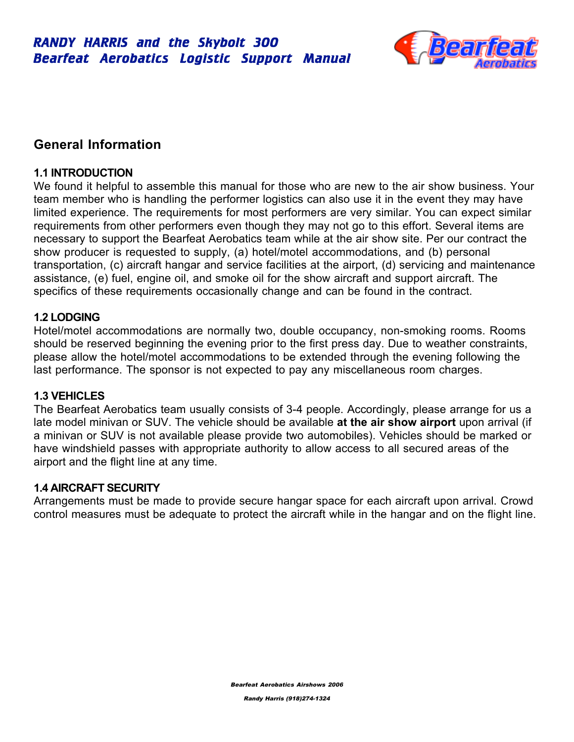

# **General Information**

# **1.1 INTRODUCTION**

We found it helpful to assemble this manual for those who are new to the air show business. Your team member who is handling the performer logistics can also use it in the event they may have limited experience. The requirements for most performers are very similar. You can expect similar requirements from other performers even though they may not go to this effort. Several items are necessary to support the Bearfeat Aerobatics team while at the air show site. Per our contract the show producer is requested to supply, (a) hotel/motel accommodations, and (b) personal transportation, (c) aircraft hangar and service facilities at the airport, (d) servicing and maintenance assistance, (e) fuel, engine oil, and smoke oil for the show aircraft and support aircraft. The specifics of these requirements occasionally change and can be found in the contract.

# **1.2 LODGING**

Hotel/motel accommodations are normally two, double occupancy, non-smoking rooms. Rooms should be reserved beginning the evening prior to the first press day. Due to weather constraints, please allow the hotel/motel accommodations to be extended through the evening following the last performance. The sponsor is not expected to pay any miscellaneous room charges.

# **1.3 VEHICLES**

The Bearfeat Aerobatics team usually consists of 3-4 people. Accordingly, please arrange for us a late model minivan or SUV. The vehicle should be available **at the air show airport** upon arrival (if a minivan or SUV is not available please provide two automobiles). Vehicles should be marked or have windshield passes with appropriate authority to allow access to all secured areas of the airport and the flight line at any time.

# **1.4 AIRCRAFT SECURITY**

Arrangements must be made to provide secure hangar space for each aircraft upon arrival. Crowd control measures must be adequate to protect the aircraft while in the hangar and on the flight line.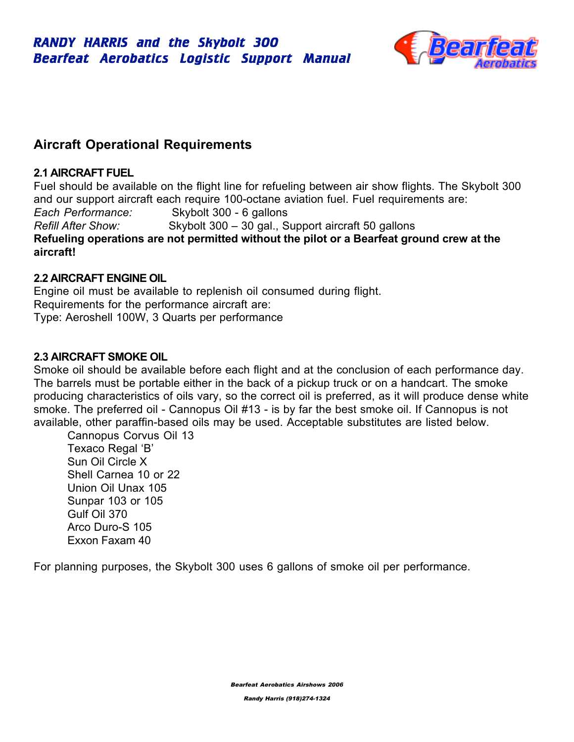

# **Aircraft Operational Requirements**

# **2.1 AIRCRAFT FUEL**

Fuel should be available on the flight line for refueling between air show flights. The Skybolt 300 and our support aircraft each require 100-octane aviation fuel. Fuel requirements are: *Each Performance:* Skybolt 300 - 6 gallons *Refill After Show:* Skybolt 300 – 30 gal., Support aircraft 50 gallons **Refueling operations are not permitted without the pilot or a Bearfeat ground crew at the aircraft!**

# **2.2 AIRCRAFT ENGINE OIL**

Engine oil must be available to replenish oil consumed during flight. Requirements for the performance aircraft are: Type: Aeroshell 100W, 3 Quarts per performance

# **2.3 AIRCRAFT SMOKE OIL**

Smoke oil should be available before each flight and at the conclusion of each performance day. The barrels must be portable either in the back of a pickup truck or on a handcart. The smoke producing characteristics of oils vary, so the correct oil is preferred, as it will produce dense white smoke. The preferred oil - Cannopus Oil #13 - is by far the best smoke oil. If Cannopus is not available, other paraffin-based oils may be used. Acceptable substitutes are listed below.

Cannopus Corvus Oil 13 Texaco Regal 'B' Sun Oil Circle X Shell Carnea 10 or 22 Union Oil Unax 105 Sunpar 103 or 105 Gulf Oil 370 Arco Duro-S 105 Exxon Faxam 40

For planning purposes, the Skybolt 300 uses 6 gallons of smoke oil per performance.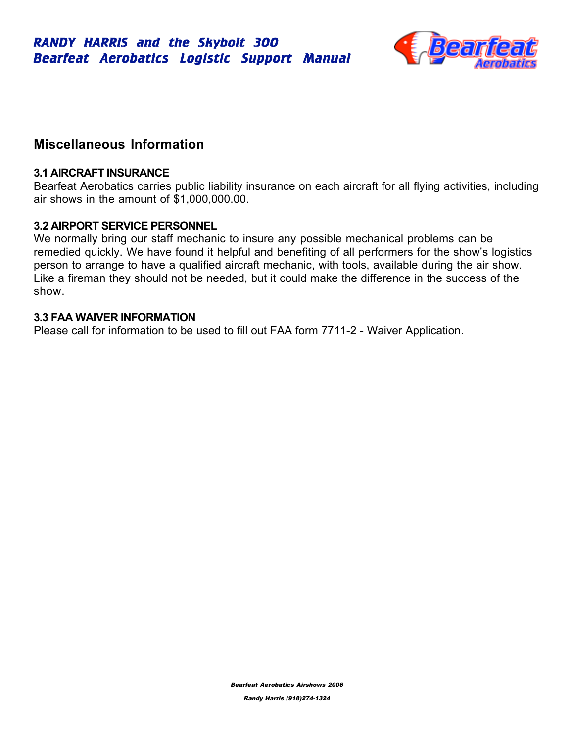

# **Miscellaneous Information**

### **3.1 AIRCRAFT INSURANCE**

Bearfeat Aerobatics carries public liability insurance on each aircraft for all flying activities, including air shows in the amount of \$1,000,000.00.

# **3.2 AIRPORT SERVICE PERSONNEL**

We normally bring our staff mechanic to insure any possible mechanical problems can be remedied quickly. We have found it helpful and benefiting of all performers for the show's logistics person to arrange to have a qualified aircraft mechanic, with tools, available during the air show. Like a fireman they should not be needed, but it could make the difference in the success of the show.

# **3.3 FAA WAIVER INFORMATION**

Please call for information to be used to fill out FAA form 7711-2 - Waiver Application.

Bearfeat Aerobatics Airshows 2006

Randy Harris (918)274-1324